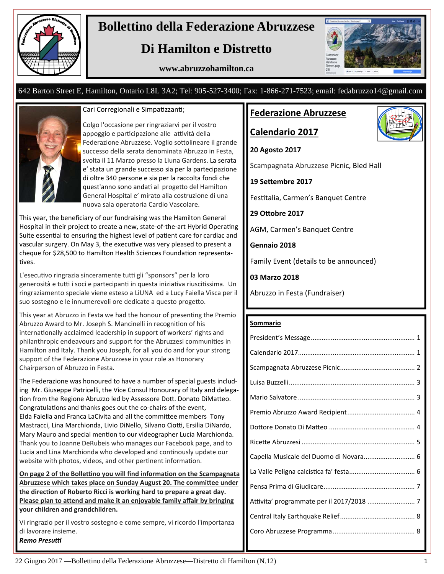

# **Bollettino della Federazione Abruzzese**

# **Di Hamilton e Distretto**

**www.abruzzohamilton.ca** 



#### 642 Barton Street E, Hamilton, Ontario L8L 3A2; Tel: 905-527-3400; Fax: 1-866-271-7523; email: fedabruzzo14@gmail.com



#### Cari Corregionali e Simpatizzanti;

Colgo l'occasione per ringraziarvi per il vostro appoggio e participazione alle attività della Federazione Abruzzese. Voglio sottolineare il grande successo della serata denominata Abruzzo in Festa, svolta il 11 Marzo presso la Liuna Gardens. La serata e' stata un grande successo sia per la partecipazione di oltre 340 persone e sia per la raccolta fondi che quest'anno sono andati al progetto del Hamilton General Hospital e' mirato alla costruzione di una nuova sala operatoria Cardio Vascolare.

This year, the beneficiary of our fundraising was the Hamilton General Hospital in their project to create a new, state-of-the-art Hybrid Operating Suite essential to ensuring the highest level of patient care for cardiac and vascular surgery. On May 3, the executive was very pleased to present a cheque for \$28,500 to Hamilton Health Sciences Foundation representatives.

L'esecutivo ringrazia sinceramente tutti gli "sponsors" per la loro generosità e tutti i soci e partecipanti in questa iniziativa riuscitissima. Un ringraziamento speciale viene esteso a LiUNA ed a Lucy Faiella Visca per il suo sostegno e le innumerevoli ore dedicate a questo progetto.

This year at Abruzzo in Festa we had the honour of presenting the Premio Abruzzo Award to Mr. Joseph S. Mancinelli in recognition of his internationally acclaimed leadership in support of workers' rights and philanthropic endeavours and support for the Abruzzesi communities in Hamilton and Italy. Thank you Joseph, for all you do and for your strong support of the Federazione Abruzzese in your role as Honorary Chairperson of Abruzzo in Festa.

The Federazione was honoured to have a number of special guests includ‐ ing Mr. Giuseppe Patricelli, the Vice Consul Honourary of Italy and delegation from the Regione Abruzzo led by Assessore Dott. Donato DiMatteo. Congratulations and thanks goes out the co-chairs of the event, Elda Faiella and Franca LaCivita and all the committee members Tony Mastracci, Lina Marchionda, Livio DiNello, Silvano Ciotti, Ersilia DiNardo, Mary Mauro and special mention to our videographer Lucia Marchionda. Thank you to Joanne DeRubeis who manages our Facebook page, and to Lucia and Lina Marchionda who developed and continously update our website with photos, videos, and other pertinent information.

**On page 2 of the Bollettino you will find information on the Scampagnata** Abruzzese which takes place on Sunday August 20. The committee under **the direcƟon of Roberto Ricci is working hard to prepare a great day. Please plan to attend and make it an enjoyable family affair by bringing your children and grandchildren.** 

Vi ringrazio per il vostro sostegno e come sempre, vi ricordo l'importanza di lavorare insieme. *Remo Presuƫ*

#### **Federazione Abruzzese**

**Calendario 2017**

**20 Agosto 2017** 

Scampagnata Abruzzese Picnic, Bled Hall

**19 SeƩembre 2017** 

Festitalia, Carmen's Banquet Centre

**29 OƩobre 2017** 

AGM, Carmen's Banquet Centre

**Gennaio 2018** 

Family Event (details to be announced)

**03 Marzo 2018** 

Abruzzo in Festa (Fundraiser)

#### **Sommario**

| Capella Musicale del Duomo di Novara 6 |
|----------------------------------------|
|                                        |
|                                        |
|                                        |
|                                        |
|                                        |
|                                        |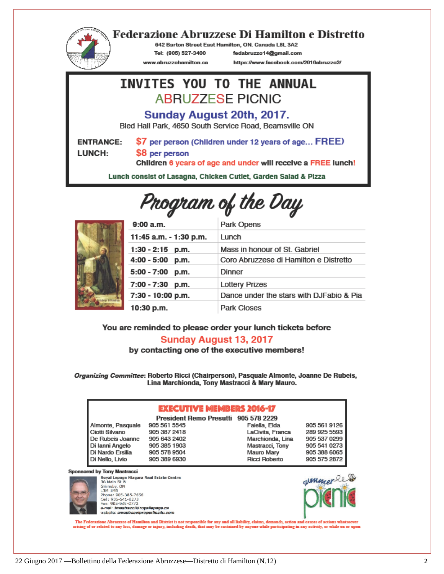

#### **Federazione Abruzzese Di Hamilton e Distretto**

642 Barton Street East Hamilton, ON. Canada L8L 3A2

Tel: (905) 527-3400 www.abruzzohamilton.ca fedabruzzo14@gmail.com

https://www.facebook.com/2016abruzzo2/

## INVITES YOU TO THE ANNUAL **ABRUZZESE PICNIC**

Sunday August 20th, 2017.

Bled Hall Park, 4650 South Service Road, Beamsville ON

**ENTRANCE:** LUNCH:

\$7 per person (Children under 12 years of age... FREE)

\$8 per person

Children 6 years of age and under will receive a FREE lunch!

Lunch consist of Lasagna, Chicken Cutlet, Garden Salad & Pizza

# Program of the Day



| 9:00 a.m.              | Park Opens                               |
|------------------------|------------------------------------------|
| 11:45 a.m. - 1:30 p.m. | Lunch                                    |
| $1:30 - 2:15$ p.m.     | Mass in honour of St. Gabriel            |
| 4:00 - 5:00<br>p.m.    | Coro Abruzzese di Hamilton e Distretto   |
| $5:00 - 7:00$ p.m.     | Dinner                                   |
| 7:00 - 7:30<br>p.m.    | <b>Lottery Prizes</b>                    |
| 7:30 - 10:00 p.m.      | Dance under the stars with DJFabio & Pia |
| 10:30 p.m.             | Park Closes                              |

You are reminded to please order your lunch tickets before

#### **Sunday August 13, 2017**

by contacting one of the executive members!

Organizing Committee: Roberto Ricci (Chairperson), Pasquale Almonte, Joanne De Rubeis, Lina Marchionda, Tony Mastracci & Mary Mauro.

#### **EXECUTIVE MEMBERS 2016-17**

Almonte, Pasquale 905 561 5545 Ciotti Silvano De Rubeis Joanne 905 643 2402 Di lanni Angelo Di Nardo Ersilia Di Nello, Livio

> Grimsby, ON EM IME. Phone: 905-385-7656 Cel: 905-541-0273

**Sponsored by Tony Mastracci** 

905 387 2418 905 385 1903 905 578 9504 905 389 6930

President Remo Presutti 905 578 2229 Faiella, Elda LaCivita, Franca Marchionda, Lina Mastracci, Tony Mauro Mary Ricci Roberto



The Federazione Abruzzese of Hamilton and District is not responsible for any and all liability, claims, demands, action and causes of actions whatsoever<br>arising of or related to any loss, damage or injury, including death

Royal Lepage Niagara Real Estate Centre<br>36 Main St W

e-mail: imastracci@royallapage.ca<br>website: amastracciproperties4u.com uyuwuyi<br>roparth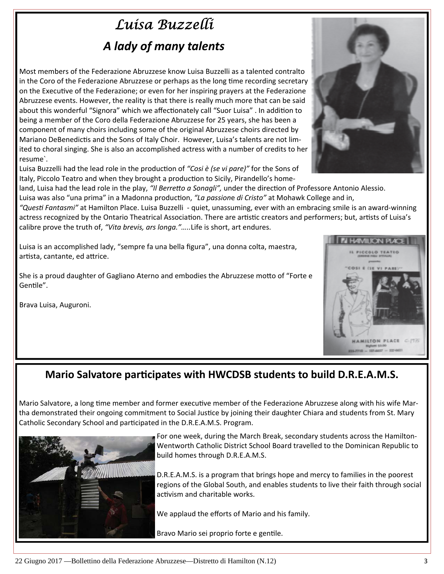# *Luisa Buzzelli A lady of many talents*

Most members of the Federazione Abruzzese know Luisa Buzzelli as a talented contralto in the Coro of the Federazione Abruzzese or perhaps as the long time recording secretary on the Executive of the Federazione; or even for her inspiring prayers at the Federazione Abruzzese events. However, the reality is that there is really much more that can be said about this wonderful "Signora" which we affectionately call "Suor Luisa" . In addition to being a member of the Coro della Federazione Abruzzese for 25 years, she has been a component of many choirs including some of the original Abruzzese choirs directed by Mariano DeBenedictis and the Sons of Italy Choir. However, Luisa's talents are not limited to choral singing. She is also an accomplished actress with a number of credits to her resume`.

Luisa Buzzelli had the lead role in the production of "Cosi *è (se vi pare)*" for the Sons of Italy, Piccolo Teatro and when they brought a production to Sicily, Pirandello's home-

land, Luisa had the lead role in the play, "Il Berretto a Sonagli", under the direction of Professore Antonio Alessio. Luisa was also "una prima" in a Madonna production, "La passione di Cristo" at Mohawk College and in,

*"QuesƟ Fantasmi"* at Hamilton Place. Luisa Buzzelli ‐ quiet, unassuming, ever with an embracing smile is an award‐winning actress recognized by the Ontario Theatrical Association. There are artistic creators and performers; but, artists of Luisa's calibre prove the truth of, *"Vita brevis, ars longa."…..*Life is short, art endures.

Luisa is an accomplished lady, "sempre fa una bella figura", una donna colta, maestra, artista, cantante, ed attrice.

She is a proud daughter of Gagliano Aterno and embodies the Abruzzese motto of "Forte e Gentile".

Brava Luisa, Auguroni.



## **Mario Salvatore participates with HWCDSB students to build D.R.E.A.M.S.**

Mario Salvatore, a long time member and former executive member of the Federazione Abruzzese along with his wife Martha demonstrated their ongoing commitment to Social Justice by joining their daughter Chiara and students from St. Mary Catholic Secondary School and participated in the D.R.E.A.M.S. Program.



For one week, during the March Break, secondary students across the Hamilton‐ Wentworth Catholic District School Board travelled to the Dominican Republic to build homes through D.R.E.A.M.S.

D.R.E.A.M.S. is a program that brings hope and mercy to families in the poorest regions of the Global South, and enables students to live their faith through social activism and charitable works.

We applaud the efforts of Mario and his family.

Bravo Mario sei proprio forte e gentile.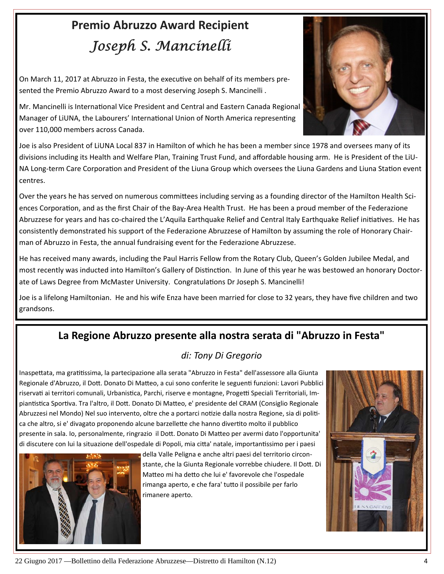# **Premio Abruzzo Award Recipient**  *Joseph S. Mancinelli*

On March 11, 2017 at Abruzzo in Festa, the executive on behalf of its members presented the Premio Abruzzo Award to a most deserving Joseph S. Mancinelli .



Mr. Mancinelli is International Vice President and Central and Eastern Canada Regional Manager of LiUNA, the Labourers' International Union of North America representing over 110,000 members across Canada.

Joe is also President of LiUNA Local 837 in Hamilton of which he has been a member since 1978 and oversees many of its divisions including its Health and Welfare Plan, Training Trust Fund, and affordable housing arm. He is President of the LiU‐ NA Long-term Care Corporation and President of the Liuna Group which oversees the Liuna Gardens and Liuna Station event centres.

Over the years he has served on numerous committees including serving as a founding director of the Hamilton Health Sciences Corporation, and as the first Chair of the Bay-Area Health Trust. He has been a proud member of the Federazione Abruzzese for years and has co-chaired the L'Aquila Earthquake Relief and Central Italy Earthquake Relief initiatives. He has consistently demonstrated his support of the Federazione Abruzzese of Hamilton by assuming the role of Honorary Chair‐ man of Abruzzo in Festa, the annual fundraising event for the Federazione Abruzzese.

He has received many awards, including the Paul Harris Fellow from the Rotary Club, Queen's Golden Jubilee Medal, and most recently was inducted into Hamilton's Gallery of Distinction. In June of this year he was bestowed an honorary Doctorate of Laws Degree from McMaster University. Congratulations Dr Joseph S. Mancinelli!

Joe is a lifelong Hamiltonian. He and his wife Enza have been married for close to 32 years, they have five children and two grandsons.

## **La Regione Abruzzo presente alla nostra serata di "Abruzzo in Festa"**

#### *di: Tony Di Gregorio*

Inaspettata, ma gratitissima, la partecipazione alla serata "Abruzzo in Festa" dell'assessore alla Giunta Regionale d'Abruzzo, il Dott. Donato Di Matteo, a cui sono conferite le seguenti funzioni: Lavori Pubblici riservati ai territori comunali, Urbanistica, Parchi, riserve e montagne, Progetti Speciali Territoriali, Impiantistica Sportiva. Tra l'altro, il Dott. Donato Di Matteo, e' presidente del CRAM (Consiglio Regionale Abruzzesi nel Mondo) Nel suo intervento, oltre che a portarci notizie dalla nostra Regione, sia di politica che altro, si e' divagato proponendo alcune barzellette che hanno divertito molto il pubblico presente in sala. Io, personalmente, ringrazio il Dott. Donato Di Matteo per avermi dato l'opportunita' di discutere con lui la situazione dell'ospedale di Popoli, mia citta' natale, importantissimo per i paesi



della Valle Peligna e anche altri paesi del territorio circon‐ stante, che la Giunta Regionale vorrebbe chiudere. Il Dott. Di Matteo mi ha detto che lui e' favorevole che l'ospedale rimanga aperto, e che fara' tutto il possibile per farlo rimanere aperto.

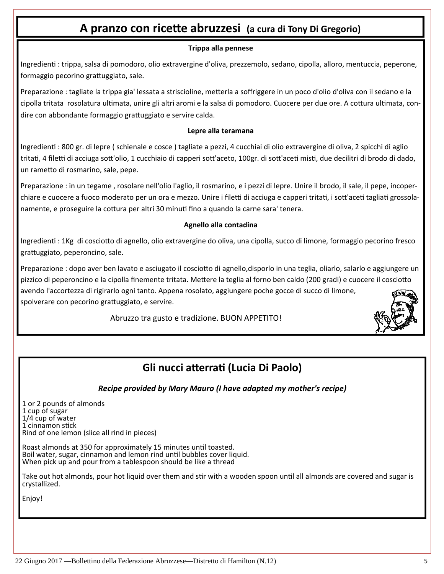## **A pranzo con riceƩe abruzzesi (a cura di Tony Di Gregorio)**

#### **Trippa alla pennese**

Ingredienti : trippa, salsa di pomodoro, olio extravergine d'oliva, prezzemolo, sedano, cipolla, alloro, mentuccia, peperone, formaggio pecorino grattuggiato, sale.

Preparazione : tagliate la trippa gia' lessata a striscioline, metterla a soffriggere in un poco d'olio d'oliva con il sedano e la cipolla tritata rosolatura ultimata, unire gli altri aromi e la salsa di pomodoro. Cuocere per due ore. A cottura ultimata, condire con abbondante formaggio grattuggiato e servire calda.

#### **Lepre alla teramana**

IngredienƟ : 800 gr. di lepre ( schienale e cosce ) tagliate a pezzi, 4 cucchiai di olio extravergine di oliva, 2 spicchi di aglio tritati, 4 filetti di acciuga sott'olio, 1 cucchiaio di capperi sott'aceto, 100gr. di sott'aceti misti, due decilitri di brodo di dado, un rameƩo di rosmarino, sale, pepe.

Preparazione : in un tegame , rosolare nell'olio l'aglio, il rosmarino, e i pezzi di lepre. Unire il brodo, il sale, il pepe, incoper‐ chiare e cuocere a fuoco moderato per un ora e mezzo. Unire i filetti di acciuga e capperi tritati, i sott'aceti tagliati grossolanamente, e proseguire la cottura per altri 30 minuti fino a quando la carne sara' tenera.

#### **Agnello alla contadina**

IngredienƟ : 1Kg di coscioƩo di agnello, olio extravergine do oliva, una cipolla, succo di limone, formaggio pecorino fresco grattuggiato, peperoncino, sale.

Preparazione : dopo aver ben lavato e asciugato il cosciotto di agnello,disporlo in una teglia, oliarlo, salarlo e aggiungere un pizzico di peperoncino e la cipolla finemente tritata. Mettere la teglia al forno ben caldo (200 gradi) e cuocere il cosciotto avendo l'accortezza di rigirarlo ogni tanto. Appena rosolato, aggiungere poche gocce di succo di limone, spolverare con pecorino grattuggiato, e servire.

Abruzzo tra gusto e tradizione. BUON APPETITO!

## **Gli nucci aƩerraƟ (Lucia Di Paolo)**

*Recipe provided by Mary Mauro (I have adapted my mother's recipe)* 

1 or 2 pounds of almonds 1 cup of sugar 1/4 cup of water 1 cinnamon stick Rind of one lemon (slice all rind in pieces)

Roast almonds at 350 for approximately 15 minutes until toasted. Boil water, sugar, cinnamon and lemon rind until bubbles cover liquid. When pick up and pour from a tablespoon should be like a thread

Take out hot almonds, pour hot liquid over them and stir with a wooden spoon until all almonds are covered and sugar is crystallized.

Enjoy!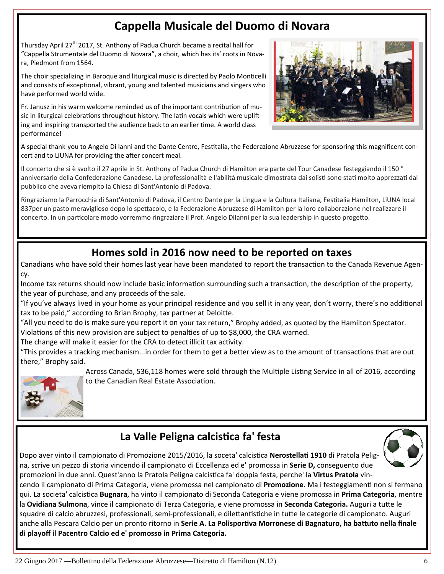## **Cappella Musicale del Duomo di Novara**

Thursday April 27<sup>th</sup> 2017, St. Anthony of Padua Church became a recital hall for "Cappella Strumentale del Duomo di Novara", a choir, which has its' roots in Nova‐ ra, Piedmont from 1564.

The choir specializing in Baroque and liturgical music is directed by Paolo Monticelli and consists of exceptional, vibrant, young and talented musicians and singers who have performed world wide.

Fr. Janusz in his warm welcome reminded us of the important contribution of music in liturgical celebrations throughout history. The latin vocals which were uplifting and inspiring transported the audience back to an earlier time. A world class performance!



A special thank-you to Angelo Di Ianni and the Dante Centre, Festitalia, the Federazione Abruzzese for sponsoring this magnificent concert and to LiUNA for providing the after concert meal.

Il concerto che si è svolto il 27 aprile in St. Anthony of Padua Church di Hamilton era parte del Tour Canadese festeggiando il 150 ° anniversario della Confederazione Canadese. La professionalità e l'abilità musicale dimostrata dai solisti sono stati molto apprezzati dal pubblico che aveva riempito la Chiesa di Sant'Antonio di Padova.

Ringraziamo la Parrocchia di Sant'Antonio di Padova, il Centro Dante per la Lingua e la Cultura Italiana, Festitalia Hamilton, LiUNA local 837per un pasto meraviglioso dopo lo spettacolo, e la Federazione Abruzzese di Hamilton per la loro collaborazione nel realizzare il concerto. In un particolare modo vorremmo ringraziare il Prof. Angelo Dilanni per la sua leadership in questo progetto.

## **Homes sold in 2016 now need to be reported on taxes**

Canadians who have sold their homes last year have been mandated to report the transaction to the Canada Revenue Agency.

Income tax returns should now include basic information surrounding such a transaction, the description of the property, the year of purchase, and any proceeds of the sale.

"If you've always lived in your home as your principal residence and you sell it in any year, don't worry, there's no additional tax to be paid," according to Brian Brophy, tax partner at Deloitte.

"All you need to do is make sure you report it on your tax return," Brophy added, as quoted by the Hamilton Spectator. Violations of this new provision are subject to penalties of up to \$8,000, the CRA warned.

The change will make it easier for the CRA to detect illicit tax activity.

"This provides a tracking mechanism...in order for them to get a better view as to the amount of transactions that are out there," Brophy said.



Across Canada, 536,118 homes were sold through the Multiple Listing Service in all of 2016, according to the Canadian Real Estate Association.

## **La Valle Peligna calcisƟca fa' festa**

Dopo aver vinto il campionato di Promozione 2015/2016, la soceta' calcistica Nerostellati 1910 di Pratola Peligna, scrive un pezzo di storia vincendo il campionato di Eccellenza ed e' promossa in **Serie D,** conseguento due promozioni in due anni. Quest'anno la Pratola Peligna calcistica fa' doppia festa, perche' la Virtus Pratola vin-

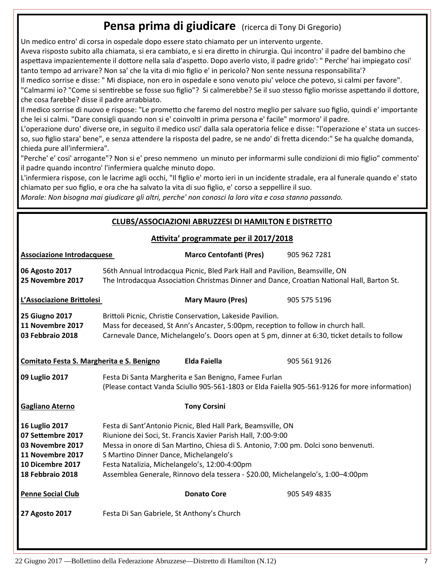## **Pensa prima di giudicare** (ricerca di Tony Di Gregorio)

Un medico entro' di corsa in ospedale dopo essere stato chiamato per un intervento urgente.

Aveva risposto subito alla chiamata, si era cambiato, e si era diretto in chirurgia. Qui incontro' il padre del bambino che aspettava impazientemente il dottore nella sala d'aspetto. Dopo averlo visto, il padre grido': " Perche' hai impiegato cosi' tanto tempo ad arrivare? Non sa' che la vita di mio figlio e' in pericolo? Non sente nessuna responsabilita'?

Il medico sorrise e disse: " Mi dispiace, non ero in ospedale e sono venuto piu' veloce che potevo, si calmi per favore". "Calmarmi io? "Come si sentirebbe se fosse suo figlio"? Si calmerebbe? Se il suo stesso figlio morisse aspettando il dottore, che cosa farebbe? disse il padre arrabbiato.

Il medico sorrise di nuovo e rispose: "Le prometto che faremo del nostro meglio per salvare suo figlio, quindi e' importante che lei si calmi. "Dare consigli quando non si e' coinvolti in prima persona e' facile" mormoro' il padre.

L'operazione duro' diverse ore, in seguito il medico usci' dalla sala operatoria felice e disse: "l'operazione e' stata un succes‐ so, suo figlio stara' bene", e senza attendere la risposta del padre, se ne ando' di fretta dicendo:" Se ha qualche domanda, chieda pure all'infermiera".

"Perche' e' cosi' arrogante"? Non si e' preso nemmeno un minuto per informarmi sulle condizioni di mio figlio" commento' il padre quando incontro' l'infermiera qualche minuto dopo.

L'infermiera rispose, con le lacrime agli occhi, "Il figlio e' morto ieri in un incidente stradale, era al funerale quando e' stato chiamato per suo figlio, e ora che ha salvato la vita di suo figlio, e' corso a seppellire il suo.

*Morale: Non bisogna mai giudicare gli altri, perche' non conosci la loro vita e cosa stanno passando.*

#### **CLUBS/ASSOCIAZIONI ABRUZZESI DI HAMILTON E DISTRETTO**

| Attivita' programmate per il 2017/2018 |  |  |  |  |  |
|----------------------------------------|--|--|--|--|--|
|----------------------------------------|--|--|--|--|--|

| <b>Associazione Introdacquese</b>                                                                                          |                                                                                                                                                                                                                                                                                                                                                                                                   | <b>Marco Centofanti (Pres)</b> | 905 962 7281 |  |  |
|----------------------------------------------------------------------------------------------------------------------------|---------------------------------------------------------------------------------------------------------------------------------------------------------------------------------------------------------------------------------------------------------------------------------------------------------------------------------------------------------------------------------------------------|--------------------------------|--------------|--|--|
| 06 Agosto 2017<br>25 Novembre 2017                                                                                         | 56th Annual Introdacqua Picnic, Bled Park Hall and Pavilion, Beamsville, ON<br>The Introdacqua Association Christmas Dinner and Dance, Croatian National Hall, Barton St.                                                                                                                                                                                                                         |                                |              |  |  |
| L'Associazione Brittolesi                                                                                                  |                                                                                                                                                                                                                                                                                                                                                                                                   | <b>Mary Mauro (Pres)</b>       | 905 575 5196 |  |  |
| <b>25 Giugno 2017</b><br>11 Novembre 2017<br>03 Febbraio 2018                                                              | Brittoli Picnic, Christie Conservation, Lakeside Pavilion.<br>Mass for deceased, St Ann's Ancaster, 5:00pm, reception to follow in church hall.<br>Carnevale Dance, Michelangelo's. Doors open at 5 pm, dinner at 6:30, ticket details to follow                                                                                                                                                  |                                |              |  |  |
| Comitato Festa S. Margherita e S. Benigno                                                                                  |                                                                                                                                                                                                                                                                                                                                                                                                   | Elda Faiella                   | 905 561 9126 |  |  |
| 09 Luglio 2017                                                                                                             | Festa Di Santa Margherita e San Benigno, Famee Furlan<br>(Please contact Vanda Sciullo 905-561-1803 or Elda Faiella 905-561-9126 for more information)                                                                                                                                                                                                                                            |                                |              |  |  |
| <b>Gagliano Aterno</b>                                                                                                     |                                                                                                                                                                                                                                                                                                                                                                                                   | <b>Tony Corsini</b>            |              |  |  |
| <b>16 Luglio 2017</b><br>07 Settembre 2017<br>03 Novembre 2017<br>11 Novembre 2017<br>10 Dicembre 2017<br>18 Febbraio 2018 | Festa di Sant'Antonio Picnic, Bled Hall Park, Beamsville, ON<br>Riunione dei Soci, St. Francis Xavier Parish Hall, 7:00-9:00<br>Messa in onore di San Martino, Chiesa di S. Antonio, 7:00 pm. Dolci sono benvenuti.<br>S Martino Dinner Dance, Michelangelo's<br>Festa Natalizia, Michelangelo's, 12:00-4:00pm<br>Assemblea Generale, Rinnovo dela tessera - \$20.00, Michelangelo's, 1:00-4:00pm |                                |              |  |  |
| <b>Penne Social Club</b>                                                                                                   |                                                                                                                                                                                                                                                                                                                                                                                                   | <b>Donato Core</b>             | 905 549 4835 |  |  |
| 27 Agosto 2017                                                                                                             | Festa Di San Gabriele, St Anthony's Church                                                                                                                                                                                                                                                                                                                                                        |                                |              |  |  |